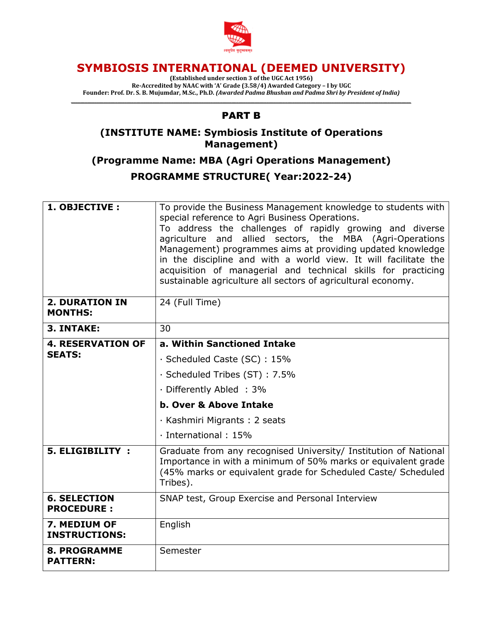

# **SYMBIOSIS INTERNATIONAL (DEEMED UNIVERSITY)**

**(Established under section 3 of the UGC Act 1956) Re-Accredited by NAAC with 'A' Grade (3.58/4) Awarded Category – I by UGC Founder: Prof. Dr. S. B. Mujumdar, M.Sc., Ph.D.** *(Awarded Padma Bhushan and Padma Shri by President of India)*

## *\_\_\_\_\_\_\_\_\_\_\_\_\_\_\_\_\_\_\_\_\_\_\_\_\_\_\_\_\_\_\_\_\_\_\_\_\_\_\_\_\_\_\_\_\_\_\_\_\_\_\_\_\_\_\_\_\_\_\_\_\_\_\_\_\_\_\_\_\_\_\_\_\_\_\_\_\_\_\_\_\_\_\_\_\_\_\_\_\_\_\_\_\_\_\_\_\_\_\_\_\_\_\_\_\_\_\_\_\_\_\_\_\_\_\_\_\_\_\_\_\_\_\_\_\_\_\_\_\_\_\_\_\_\_\_\_\_\_\_\_\_\_\_\_\_\_* PART B

### **(INSTITUTE NAME: Symbiosis Institute of Operations Management)**

**(Programme Name: MBA (Agri Operations Management) PROGRAMME STRUCTURE( Year:2022-24)**

| 1. OBJECTIVE :                           | To provide the Business Management knowledge to students with<br>special reference to Agri Business Operations.<br>To address the challenges of rapidly growing and diverse<br>agriculture and allied sectors, the MBA (Agri-Operations<br>Management) programmes aims at providing updated knowledge<br>in the discipline and with a world view. It will facilitate the<br>acquisition of managerial and technical skills for practicing<br>sustainable agriculture all sectors of agricultural economy. |  |  |  |
|------------------------------------------|-----------------------------------------------------------------------------------------------------------------------------------------------------------------------------------------------------------------------------------------------------------------------------------------------------------------------------------------------------------------------------------------------------------------------------------------------------------------------------------------------------------|--|--|--|
| <b>2. DURATION IN</b><br><b>MONTHS:</b>  | 24 (Full Time)                                                                                                                                                                                                                                                                                                                                                                                                                                                                                            |  |  |  |
| 3. INTAKE:                               | 30                                                                                                                                                                                                                                                                                                                                                                                                                                                                                                        |  |  |  |
| <b>4. RESERVATION OF</b>                 | a. Within Sanctioned Intake                                                                                                                                                                                                                                                                                                                                                                                                                                                                               |  |  |  |
| <b>SEATS:</b>                            | · Scheduled Caste (SC): 15%                                                                                                                                                                                                                                                                                                                                                                                                                                                                               |  |  |  |
|                                          | · Scheduled Tribes (ST): 7.5%                                                                                                                                                                                                                                                                                                                                                                                                                                                                             |  |  |  |
|                                          | · Differently Abled : 3%                                                                                                                                                                                                                                                                                                                                                                                                                                                                                  |  |  |  |
|                                          | b. Over & Above Intake                                                                                                                                                                                                                                                                                                                                                                                                                                                                                    |  |  |  |
|                                          | · Kashmiri Migrants: 2 seats                                                                                                                                                                                                                                                                                                                                                                                                                                                                              |  |  |  |
|                                          | $\cdot$ International : 15%                                                                                                                                                                                                                                                                                                                                                                                                                                                                               |  |  |  |
| 5. ELIGIBILITY :                         | Graduate from any recognised University/ Institution of National<br>Importance in with a minimum of 50% marks or equivalent grade<br>(45% marks or equivalent grade for Scheduled Caste/ Scheduled<br>Tribes).                                                                                                                                                                                                                                                                                            |  |  |  |
| <b>6. SELECTION</b><br><b>PROCEDURE:</b> | SNAP test, Group Exercise and Personal Interview                                                                                                                                                                                                                                                                                                                                                                                                                                                          |  |  |  |
| 7. MEDIUM OF<br><b>INSTRUCTIONS:</b>     | English                                                                                                                                                                                                                                                                                                                                                                                                                                                                                                   |  |  |  |
| <b>8. PROGRAMME</b><br><b>PATTERN:</b>   | Semester                                                                                                                                                                                                                                                                                                                                                                                                                                                                                                  |  |  |  |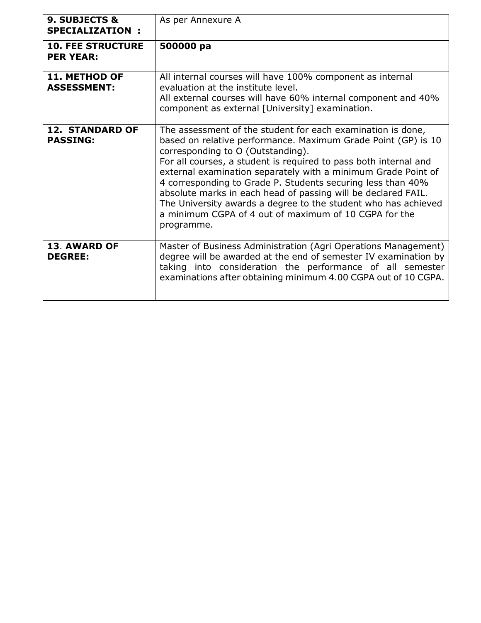| 9. SUBJECTS &<br><b>SPECIALIZATION:</b>      | As per Annexure A                                                                                                                                                                                                                                                                                                                                                                                                                                                                                                                                                               |  |  |  |
|----------------------------------------------|---------------------------------------------------------------------------------------------------------------------------------------------------------------------------------------------------------------------------------------------------------------------------------------------------------------------------------------------------------------------------------------------------------------------------------------------------------------------------------------------------------------------------------------------------------------------------------|--|--|--|
| <b>10. FEE STRUCTURE</b><br><b>PER YEAR:</b> | 500000 pa                                                                                                                                                                                                                                                                                                                                                                                                                                                                                                                                                                       |  |  |  |
| <b>11. METHOD OF</b><br><b>ASSESSMENT:</b>   | All internal courses will have 100% component as internal<br>evaluation at the institute level.<br>All external courses will have 60% internal component and 40%<br>component as external [University] examination.                                                                                                                                                                                                                                                                                                                                                             |  |  |  |
| <b>12. STANDARD OF</b><br><b>PASSING:</b>    | The assessment of the student for each examination is done,<br>based on relative performance. Maximum Grade Point (GP) is 10<br>corresponding to O (Outstanding).<br>For all courses, a student is required to pass both internal and<br>external examination separately with a minimum Grade Point of<br>4 corresponding to Grade P. Students securing less than 40%<br>absolute marks in each head of passing will be declared FAIL.<br>The University awards a degree to the student who has achieved<br>a minimum CGPA of 4 out of maximum of 10 CGPA for the<br>programme. |  |  |  |
| <b>13. AWARD OF</b><br><b>DEGREE:</b>        | Master of Business Administration (Agri Operations Management)<br>degree will be awarded at the end of semester IV examination by<br>taking into consideration the performance of all semester<br>examinations after obtaining minimum 4.00 CGPA out of 10 CGPA.                                                                                                                                                                                                                                                                                                                |  |  |  |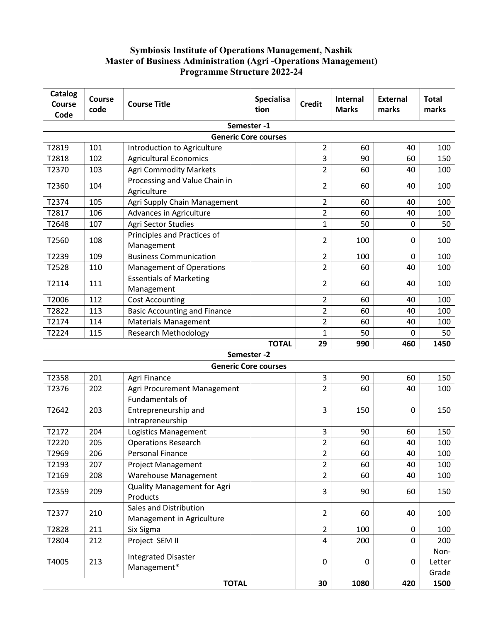#### **Symbiosis Institute of Operations Management, Nashik Master of Business Administration (Agri -Operations Management) Programme Structure 2022-24**

| <b>Catalog</b><br><b>Course</b> | <b>Course</b> | <b>Course Title</b>                                 | Specialisa   | <b>Credit</b>    | Internal     | <b>External</b> | <b>Total</b>            |
|---------------------------------|---------------|-----------------------------------------------------|--------------|------------------|--------------|-----------------|-------------------------|
| Code                            | code          |                                                     | tion         |                  | <b>Marks</b> | marks           | marks                   |
| Semester-1                      |               |                                                     |              |                  |              |                 |                         |
|                                 |               | <b>Generic Core courses</b>                         |              |                  |              |                 |                         |
| T2819                           | 101           | Introduction to Agriculture                         |              | $\overline{2}$   | 60           | 40              | 100                     |
| T2818                           | 102           | <b>Agricultural Economics</b>                       |              | 3                | 90           | 60              | 150                     |
| T2370                           | 103           | <b>Agri Commodity Markets</b>                       |              | $\overline{2}$   | 60           | 40              | 100                     |
| T2360                           | 104           | Processing and Value Chain in<br>Agriculture        |              | 2                | 60           | 40              | 100                     |
| T2374                           | 105           | Agri Supply Chain Management                        |              | $\overline{2}$   | 60           | 40              | 100                     |
| T2817                           | 106           | Advances in Agriculture                             |              | $\overline{2}$   | 60           | 40              | 100                     |
| T2648                           | 107           | Agri Sector Studies                                 |              | $\mathbf{1}$     | 50           | $\mathbf 0$     | 50                      |
| T2560                           | 108           | Principles and Practices of<br>Management           |              | 2                | 100          | 0               | 100                     |
| T2239                           | 109           | <b>Business Communication</b>                       |              | 2                | 100          | 0               | 100                     |
| T2528                           | 110           | <b>Management of Operations</b>                     |              | $\overline{2}$   | 60           | 40              | 100                     |
| T2114                           | 111           | <b>Essentials of Marketing</b><br>Management        |              | 2                | 60           | 40              | 100                     |
| T2006                           | 112           | <b>Cost Accounting</b>                              |              | $\overline{2}$   | 60           | 40              | 100                     |
| T2822                           | 113           | <b>Basic Accounting and Finance</b>                 |              | $\overline{2}$   | 60           | 40              | 100                     |
| T2174                           | 114           | <b>Materials Management</b>                         |              | $\overline{2}$   | 60           | 40              | 100                     |
| T2224                           | 115           | <b>Research Methodology</b>                         |              | 1                | 50           | $\Omega$        | 50                      |
|                                 |               |                                                     | <b>TOTAL</b> | 29               | 990          | 460             | 1450                    |
|                                 |               | Semester-2                                          |              |                  |              |                 |                         |
|                                 |               | <b>Generic Core courses</b>                         |              |                  |              |                 |                         |
| T2358                           | 201           | Agri Finance                                        |              | 3                | 90           | 60              | 150                     |
| T2376                           | 202           | Agri Procurement Management                         |              | $\overline{2}$   | 60           | 40              | 100                     |
| T2642                           | 203           | Fundamentals of<br>Entrepreneurship and             |              | 3                | 150          | 0               | 150                     |
|                                 |               | Intrapreneurship                                    |              |                  |              |                 |                         |
| T2172                           | 204           | Logistics Management                                |              | 3                | 90           | 60              | 150                     |
| T2220                           | 205           | <b>Operations Research</b>                          |              | $\overline{2}$   | 60           | 40              | 100                     |
| T2969                           | 206           | <b>Personal Finance</b>                             |              | $\overline{2}$   | 60           | 40              | 100                     |
| T2193                           | 207           | <b>Project Management</b>                           |              | $\overline{2}$   | 60           | 40              | 100                     |
| T2169                           | 208           | <b>Warehouse Management</b>                         |              | $\overline{2}$   | 60           | 40              | 100                     |
| T2359                           | 209           | <b>Quality Management for Agri</b><br>Products      |              | 3                | 90           | 60              | 150                     |
| T2377                           | 210           | Sales and Distribution<br>Management in Agriculture |              | $\overline{2}$   | 60           | 40              | 100                     |
| T2828                           | 211           | Six Sigma                                           |              | $\overline{2}$   | 100          | 0               | 100                     |
| T2804                           | 212           | Project SEM II                                      |              | 4                | 200          | $\Omega$        | 200                     |
| T4005                           | 213           | <b>Integrated Disaster</b><br>Management*           |              | $\boldsymbol{0}$ | 0            | 0               | Non-<br>Letter<br>Grade |
| <b>TOTAL</b>                    |               |                                                     |              | 30               | 1080         | 420             | 1500                    |